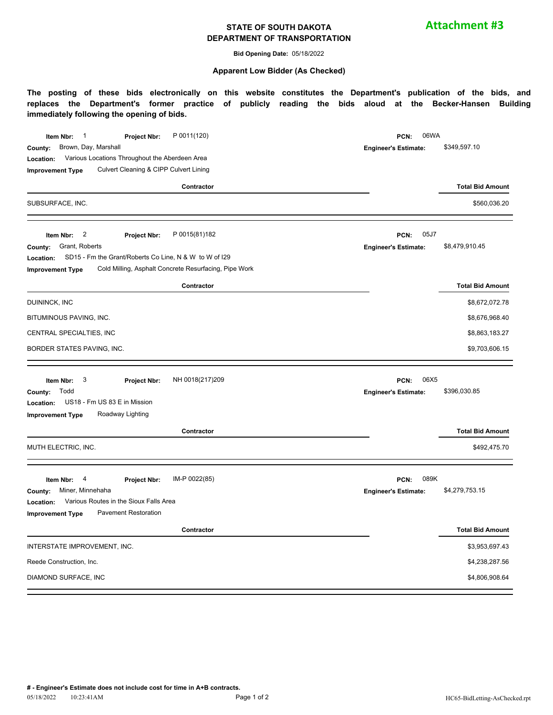#### **STATE OF SOUTH DAKOTA DEPARTMENT OF TRANSPORTATION**

**Attachment #3**

**Bid Opening Date:** 05/18/2022

#### **Apparent Low Bidder (As Checked)**

**The posting of these bids electronically on this website constitutes the Department's publication of the bids, and replaces the Department's former practice of publicly reading the bids aloud at the Becker-Hansen Building immediately following the opening of bids.**

| P 0011(120)<br>$\overline{\phantom{0}}$ 1<br>Item Nbr:<br>Project Nbr:<br>Brown, Day, Marshall<br>County:<br>Various Locations Throughout the Aberdeen Area<br>Location:<br>Culvert Cleaning & CIPP Culvert Lining<br><b>Improvement Type</b>                 | 06WA<br>PCN:<br><b>Engineer's Estimate:</b> | \$349,597.10            |  |  |
|---------------------------------------------------------------------------------------------------------------------------------------------------------------------------------------------------------------------------------------------------------------|---------------------------------------------|-------------------------|--|--|
| Contractor                                                                                                                                                                                                                                                    |                                             | <b>Total Bid Amount</b> |  |  |
| SUBSURFACE, INC.                                                                                                                                                                                                                                              |                                             | \$560,036.20            |  |  |
| $\overline{\mathbf{c}}$<br>P 0015(81)182<br>Item Nbr:<br>Project Nbr:<br>Grant, Roberts<br>County:<br>SD15 - Fm the Grant/Roberts Co Line, N & W to W of I29<br>Location:<br>Cold Milling, Asphalt Concrete Resurfacing, Pipe Work<br><b>Improvement Type</b> | 05J7<br>PCN:<br><b>Engineer's Estimate:</b> | \$8,479,910.45          |  |  |
| Contractor                                                                                                                                                                                                                                                    |                                             | <b>Total Bid Amount</b> |  |  |
| DUININCK, INC                                                                                                                                                                                                                                                 |                                             | \$8,672,072.78          |  |  |
| BITUMINOUS PAVING, INC.                                                                                                                                                                                                                                       |                                             | \$8,676,968.40          |  |  |
| CENTRAL SPECIALTIES, INC                                                                                                                                                                                                                                      |                                             | \$8,863,183.27          |  |  |
| BORDER STATES PAVING, INC.                                                                                                                                                                                                                                    |                                             | \$9,703,606.15          |  |  |
| 3<br>NH 0018(217)209<br>Item Nbr:<br>Project Nbr:                                                                                                                                                                                                             | 06X5<br>PCN:                                |                         |  |  |
| Todd<br>County:                                                                                                                                                                                                                                               | <b>Engineer's Estimate:</b>                 | \$396,030.85            |  |  |
| US18 - Fm US 83 E in Mission<br>Location:<br>Roadway Lighting<br><b>Improvement Type</b>                                                                                                                                                                      |                                             |                         |  |  |
| Contractor                                                                                                                                                                                                                                                    |                                             | <b>Total Bid Amount</b> |  |  |
| MUTH ELECTRIC, INC.                                                                                                                                                                                                                                           |                                             | \$492,475.70            |  |  |
| IM-P 0022(85)<br>4<br>Item Nbr:<br>Project Nbr:<br>Miner, Minnehaha<br>County:                                                                                                                                                                                | 089K<br>PCN:<br><b>Engineer's Estimate:</b> | \$4,279,753.15          |  |  |
| Various Routes in the Sioux Falls Area<br>Location:<br><b>Pavement Restoration</b><br><b>Improvement Type</b>                                                                                                                                                 |                                             |                         |  |  |
| Contractor                                                                                                                                                                                                                                                    |                                             | <b>Total Bid Amount</b> |  |  |
| INTERSTATE IMPROVEMENT, INC.                                                                                                                                                                                                                                  |                                             | \$3,953,697.43          |  |  |
| Reede Construction, Inc.                                                                                                                                                                                                                                      |                                             | \$4,238,287.56          |  |  |
| DIAMOND SURFACE, INC                                                                                                                                                                                                                                          |                                             | \$4,806,908.64          |  |  |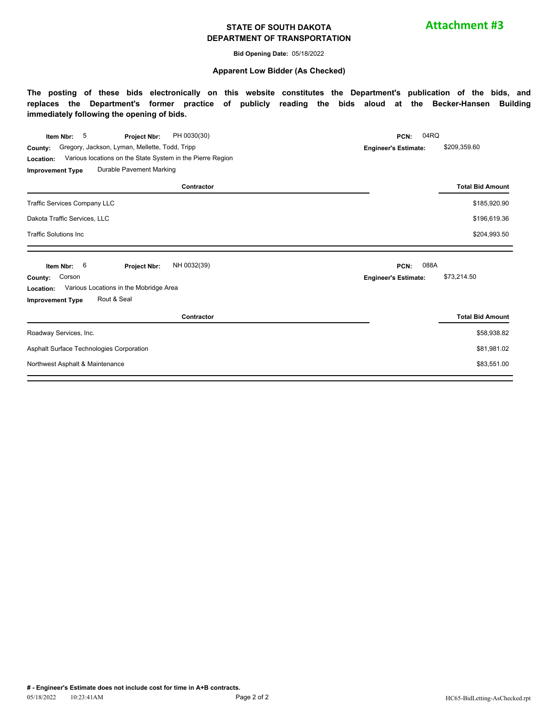#### **STATE OF SOUTH DAKOTA DEPARTMENT OF TRANSPORTATION**

**Attachment #3**

**Bid Opening Date:** 05/18/2022

#### **Apparent Low Bidder (As Checked)**

**The posting of these bids electronically on this website constitutes the Department's publication of the bids, and replaces the Department's former practice of publicly reading the bids aloud at the Becker-Hansen Building immediately following the opening of bids.**

| 5<br>PH 0030(30)<br>Item Nbr:<br><b>Project Nbr:</b>                                                                                 | 04RQ<br>PCN:                |                         |  |
|--------------------------------------------------------------------------------------------------------------------------------------|-----------------------------|-------------------------|--|
| Gregory, Jackson, Lyman, Mellette, Todd, Tripp<br>County:<br>Various locations on the State System in the Pierre Region<br>Location: | <b>Engineer's Estimate:</b> | \$209,359.60            |  |
| Durable Pavement Marking<br><b>Improvement Type</b>                                                                                  |                             |                         |  |
| Contractor                                                                                                                           |                             | <b>Total Bid Amount</b> |  |
| Traffic Services Company LLC                                                                                                         |                             | \$185,920.90            |  |
| Dakota Traffic Services, LLC                                                                                                         |                             | \$196,619.36            |  |
| <b>Traffic Solutions Inc</b>                                                                                                         |                             | \$204,993.50            |  |
| NH 0032(39)<br>6<br>Item Nbr:<br><b>Project Nbr:</b>                                                                                 | 088A<br>PCN:                |                         |  |
| Corson<br>County:                                                                                                                    | <b>Engineer's Estimate:</b> | \$73,214.50             |  |
| Various Locations in the Mobridge Area<br>Location:                                                                                  |                             |                         |  |
| Rout & Seal<br><b>Improvement Type</b>                                                                                               |                             |                         |  |
| Contractor                                                                                                                           |                             | <b>Total Bid Amount</b> |  |
| Roadway Services, Inc.                                                                                                               |                             | \$58,938.82             |  |
| Asphalt Surface Technologies Corporation                                                                                             |                             | \$81,981.02             |  |
|                                                                                                                                      |                             |                         |  |